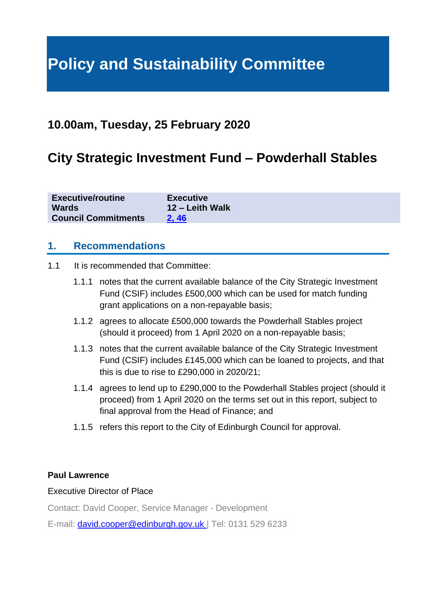# **Policy and Sustainability Committee**

# **10.00am, Tuesday, 25 February 2020**

# **City Strategic Investment Fund – Powderhall Stables**

| <b>Executive/routine</b>   | <b>Executive</b> |
|----------------------------|------------------|
| <b>Wards</b>               | 12 – Leith Walk  |
| <b>Council Commitments</b> | 2,46             |

#### **1. Recommendations**

- 1.1 It is recommended that Committee:
	- 1.1.1 notes that the current available balance of the City Strategic Investment Fund (CSIF) includes £500,000 which can be used for match funding grant applications on a non-repayable basis;
	- 1.1.2 agrees to allocate £500,000 towards the Powderhall Stables project (should it proceed) from 1 April 2020 on a non-repayable basis;
	- 1.1.3 notes that the current available balance of the City Strategic Investment Fund (CSIF) includes £145,000 which can be loaned to projects, and that this is due to rise to £290,000 in 2020/21;
	- 1.1.4 agrees to lend up to £290,000 to the Powderhall Stables project (should it proceed) from 1 April 2020 on the terms set out in this report, subject to final approval from the Head of Finance; and
	- 1.1.5 refers this report to the City of Edinburgh Council for approval.

#### **Paul Lawrence**

#### Executive Director of Place

Contact: David Cooper, Service Manager - Development

E-mail: [david.cooper@edinburgh.gov.uk](mailto:david.cooper@edinburgh.gov.uk) | Tel: 0131 529 6233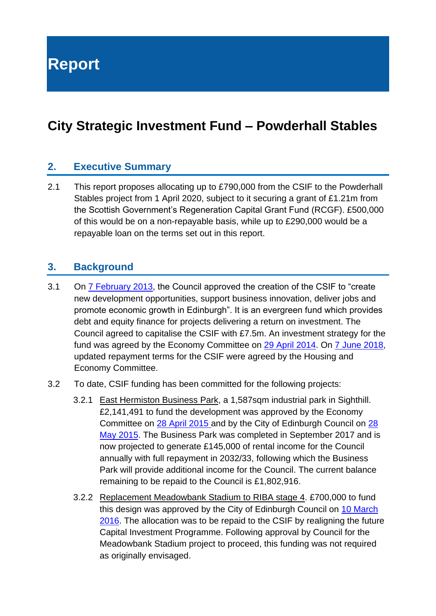**Report**

# **City Strategic Investment Fund – Powderhall Stables**

### **2. Executive Summary**

2.1 This report proposes allocating up to £790,000 from the CSIF to the Powderhall Stables project from 1 April 2020, subject to it securing a grant of £1.21m from the Scottish Government's Regeneration Capital Grant Fund (RCGF). £500,000 of this would be on a non-repayable basis, while up to £290,000 would be a repayable loan on the terms set out in this report.

### **3. Background**

- 3.1 On [7 February 2013,](https://democracy.edinburgh.gov.uk/CeListDocuments.aspx?CommitteeId=150&MeetingId=956&DF=07%2f02%2f2013&Ver=2) the Council approved the creation of the CSIF to "create new development opportunities, support business innovation, deliver jobs and promote economic growth in Edinburgh". It is an evergreen fund which provides debt and equity finance for projects delivering a return on investment. The Council agreed to capitalise the CSIF with £7.5m. An investment strategy for the fund was agreed by the Economy Committee on [29 April 2014.](https://democracy.edinburgh.gov.uk/CeListDocuments.aspx?CommitteeId=276&MeetingId=1943&DF=29%2f04%2f2014&Ver=2) On [7 June 2018,](https://democracy.edinburgh.gov.uk/CeListDocuments.aspx?CommitteeId=287&MeetingId=2520&DF=07%2f06%2f2018&Ver=2) updated repayment terms for the CSIF were agreed by the Housing and Economy Committee.
- 3.2 To date, CSIF funding has been committed for the following projects:
	- 3.2.1 East Hermiston Business Park, a 1,587sqm industrial park in Sighthill. £2,141,491 to fund the development was approved by the Economy Committee on [28 April 2015](https://democracy.edinburgh.gov.uk/CeListDocuments.aspx?CommitteeId=276&MeetingId=1950&DF=28%2f04%2f2015&Ver=2) and by the City of Edinburgh Council on [28](https://democracy.edinburgh.gov.uk/CeListDocuments.aspx?CommitteeId=150&MeetingId=981&DF=28%2f05%2f2015&Ver=2)  [May 2015.](https://democracy.edinburgh.gov.uk/CeListDocuments.aspx?CommitteeId=150&MeetingId=981&DF=28%2f05%2f2015&Ver=2) The Business Park was completed in September 2017 and is now projected to generate £145,000 of rental income for the Council annually with full repayment in 2032/33, following which the Business Park will provide additional income for the Council. The current balance remaining to be repaid to the Council is £1,802,916.
	- 3.2.2 Replacement Meadowbank Stadium to RIBA stage 4. £700,000 to fund this design was approved by the City of Edinburgh Council on [10 March](https://democracy.edinburgh.gov.uk/CeListDocuments.aspx?CommitteeId=150&MeetingId=990&DF=10%2f03%2f2016&Ver=2)  [2016.](https://democracy.edinburgh.gov.uk/CeListDocuments.aspx?CommitteeId=150&MeetingId=990&DF=10%2f03%2f2016&Ver=2) The allocation was to be repaid to the CSIF by realigning the future Capital Investment Programme. Following approval by Council for the Meadowbank Stadium project to proceed, this funding was not required as originally envisaged.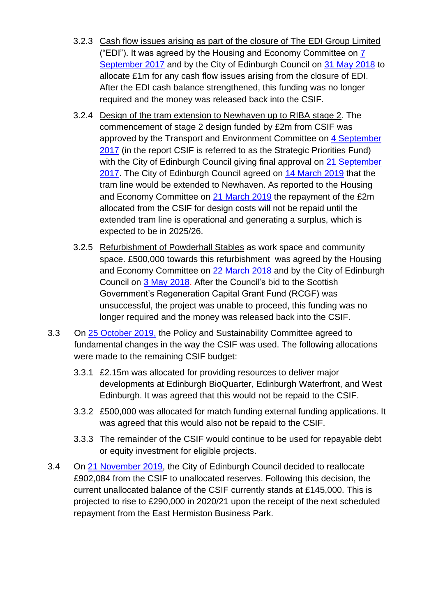- 3.2.3 Cash flow issues arising as part of the closure of The EDI Group Limited ("EDI"). It was agreed by the Housing and Economy Committee on [7](https://democracy.edinburgh.gov.uk/CeListDocuments.aspx?CommitteeId=287&MeetingId=2516&DF=07%2f09%2f2017&Ver=2)  [September 2017](https://democracy.edinburgh.gov.uk/CeListDocuments.aspx?CommitteeId=287&MeetingId=2516&DF=07%2f09%2f2017&Ver=2) and by the City of Edinburgh Council on [31 May 2018](https://democracy.edinburgh.gov.uk/CeListDocuments.aspx?CommitteeId=150&MeetingId=1015&DF=31%2f05%2f2018&Ver=2) to allocate £1m for any cash flow issues arising from the closure of EDI. After the EDI cash balance strengthened, this funding was no longer required and the money was released back into the CSIF.
- 3.2.4 Design of the tram extension to Newhaven up to RIBA stage 2. The commencement of stage 2 design funded by £2m from CSIF was approved by the Transport and Environment Committee on [4 September](https://democracy.edinburgh.gov.uk/CeListDocuments.aspx?CommitteeId=136&MeetingId=4751&DF=04%2f09%2f2017&Ver=2)  [2017](https://democracy.edinburgh.gov.uk/CeListDocuments.aspx?CommitteeId=136&MeetingId=4751&DF=04%2f09%2f2017&Ver=2) (in the report CSIF is referred to as the Strategic Priorities Fund) with the City of Edinburgh Council giving final approval on 21 September [2017.](https://democracy.edinburgh.gov.uk/CeListDocuments.aspx?CommitteeId=150&MeetingId=1007&DF=21%2f09%2f2017&Ver=2) The City of Edinburgh Council agreed on [14 March 2019](https://democracy.edinburgh.gov.uk/CeListDocuments.aspx?CommitteeId=150&MeetingId=1024&DF=14%2f03%2f2019&Ver=2) that the tram line would be extended to Newhaven. As reported to the Housing and Economy Committee on [21 March 2019](https://democracy.edinburgh.gov.uk/CeListDocuments.aspx?CommitteeId=287&MeetingId=4954&DF=21%2f03%2f2019&Ver=2) the repayment of the £2m allocated from the CSIF for design costs will not be repaid until the extended tram line is operational and generating a surplus, which is expected to be in 2025/26.
- 3.2.5 Refurbishment of Powderhall Stables as work space and community space. £500,000 towards this refurbishment was agreed by the Housing and Economy Committee on [22 March 2018](https://democracy.edinburgh.gov.uk/CeListDocuments.aspx?CommitteeId=287&MeetingId=2519&DF=22%2f03%2f2018&Ver=2) and by the City of Edinburgh Council on [3 May 2018.](https://democracy.edinburgh.gov.uk/CeListDocuments.aspx?CommitteeId=150&MeetingId=1014&DF=03%2f05%2f2018&Ver=2) After the Council's bid to the Scottish Government's Regeneration Capital Grant Fund (RCGF) was unsuccessful, the project was unable to proceed, this funding was no longer required and the money was released back into the CSIF.
- 3.3 On [25 October 2019,](https://democracy.edinburgh.gov.uk/ieListDocuments.aspx?CId=135&MId=5254&Ver=4) the Policy and Sustainability Committee agreed to fundamental changes in the way the CSIF was used. The following allocations were made to the remaining CSIF budget:
	- 3.3.1 £2.15m was allocated for providing resources to deliver major developments at Edinburgh BioQuarter, Edinburgh Waterfront, and West Edinburgh. It was agreed that this would not be repaid to the CSIF.
	- 3.3.2 £500,000 was allocated for match funding external funding applications. It was agreed that this would also not be repaid to the CSIF.
	- 3.3.3 The remainder of the CSIF would continue to be used for repayable debt or equity investment for eligible projects.
- 3.4 On [21 November 2019,](https://democracy.edinburgh.gov.uk/ieListDocuments.aspx?CId=150&MId=410&Ver=4) the City of Edinburgh Council decided to reallocate £902,084 from the CSIF to unallocated reserves. Following this decision, the current unallocated balance of the CSIF currently stands at £145,000. This is projected to rise to £290,000 in 2020/21 upon the receipt of the next scheduled repayment from the East Hermiston Business Park.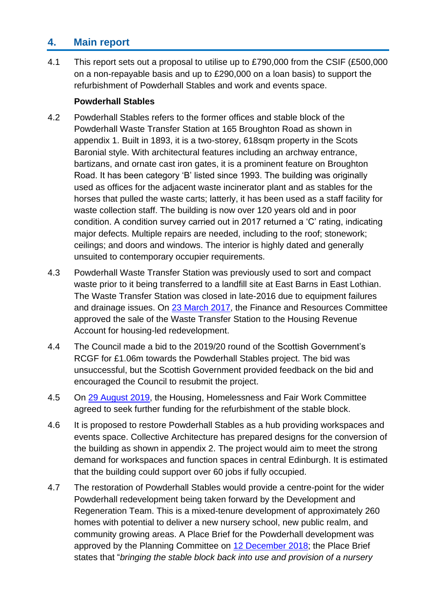# **4. Main report**

4.1 This report sets out a proposal to utilise up to £790,000 from the CSIF (£500,000 on a non-repayable basis and up to £290,000 on a loan basis) to support the refurbishment of Powderhall Stables and work and events space.

#### **Powderhall Stables**

- 4.2 Powderhall Stables refers to the former offices and stable block of the Powderhall Waste Transfer Station at 165 Broughton Road as shown in appendix 1. Built in 1893, it is a two-storey, 618sqm property in the Scots Baronial style. With architectural features including an archway entrance, bartizans, and ornate cast iron gates, it is a prominent feature on Broughton Road. It has been category 'B' listed since 1993. The building was originally used as offices for the adjacent waste incinerator plant and as stables for the horses that pulled the waste carts; latterly, it has been used as a staff facility for waste collection staff. The building is now over 120 years old and in poor condition. A condition survey carried out in 2017 returned a 'C' rating, indicating major defects. Multiple repairs are needed, including to the roof; stonework; ceilings; and doors and windows. The interior is highly dated and generally unsuited to contemporary occupier requirements.
- 4.3 Powderhall Waste Transfer Station was previously used to sort and compact waste prior to it being transferred to a landfill site at East Barns in East Lothian. The Waste Transfer Station was closed in late-2016 due to equipment failures and drainage issues. On [23 March 2017,](https://democracy.edinburgh.gov.uk/CeListDocuments.aspx?CommitteeId=140&MeetingId=2298&DF=23%2f03%2f2017&Ver=2) the Finance and Resources Committee approved the sale of the Waste Transfer Station to the Housing Revenue Account for housing-led redevelopment.
- 4.4 The Council made a bid to the 2019/20 round of the Scottish Government's RCGF for £1.06m towards the Powderhall Stables project. The bid was unsuccessful, but the Scottish Government provided feedback on the bid and encouraged the Council to resubmit the project.
- 4.5 On [29 August 2019,](https://democracy.edinburgh.gov.uk/ieListDocuments.aspx?CId=141&MId=434&Ver=4) the Housing, Homelessness and Fair Work Committee agreed to seek further funding for the refurbishment of the stable block.
- 4.6 It is proposed to restore Powderhall Stables as a hub providing workspaces and events space. Collective Architecture has prepared designs for the conversion of the building as shown in appendix 2. The project would aim to meet the strong demand for workspaces and function spaces in central Edinburgh. It is estimated that the building could support over 60 jobs if fully occupied.
- 4.7 The restoration of Powderhall Stables would provide a centre-point for the wider Powderhall redevelopment being taken forward by the Development and Regeneration Team. This is a mixed-tenure development of approximately 260 homes with potential to deliver a new nursery school, new public realm, and community growing areas. A Place Brief for the Powderhall development was approved by the Planning Committee on [12 December 2018;](https://democracy.edinburgh.gov.uk/CeListDocuments.aspx?CommitteeId=147&MeetingId=3716&DF=12%2f12%2f2018&Ver=2) the Place Brief states that "*bringing the stable block back into use and provision of a nursery*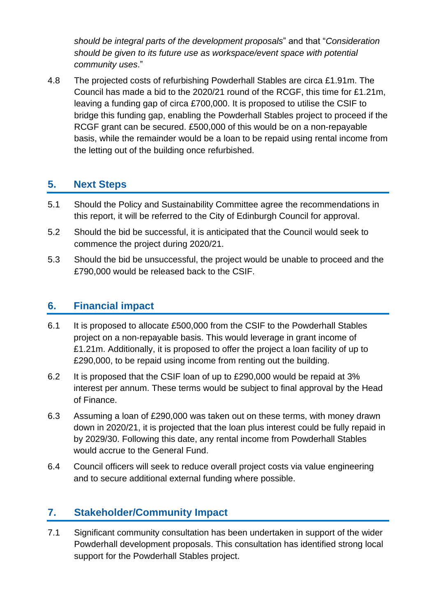*should be integral parts of the development proposals*" and that "*Consideration should be given to its future use as workspace/event space with potential community uses*."

4.8 The projected costs of refurbishing Powderhall Stables are circa £1.91m. The Council has made a bid to the 2020/21 round of the RCGF, this time for £1.21m, leaving a funding gap of circa £700,000. It is proposed to utilise the CSIF to bridge this funding gap, enabling the Powderhall Stables project to proceed if the RCGF grant can be secured. £500,000 of this would be on a non-repayable basis, while the remainder would be a loan to be repaid using rental income from the letting out of the building once refurbished.

### **5. Next Steps**

- 5.1 Should the Policy and Sustainability Committee agree the recommendations in this report, it will be referred to the City of Edinburgh Council for approval.
- 5.2 Should the bid be successful, it is anticipated that the Council would seek to commence the project during 2020/21.
- 5.3 Should the bid be unsuccessful, the project would be unable to proceed and the £790,000 would be released back to the CSIF.

### **6. Financial impact**

- 6.1 It is proposed to allocate £500,000 from the CSIF to the Powderhall Stables project on a non-repayable basis. This would leverage in grant income of £1.21m. Additionally, it is proposed to offer the project a loan facility of up to £290,000, to be repaid using income from renting out the building.
- 6.2 It is proposed that the CSIF loan of up to £290,000 would be repaid at 3% interest per annum. These terms would be subject to final approval by the Head of Finance.
- 6.3 Assuming a loan of £290,000 was taken out on these terms, with money drawn down in 2020/21, it is projected that the loan plus interest could be fully repaid in by 2029/30. Following this date, any rental income from Powderhall Stables would accrue to the General Fund.
- 6.4 Council officers will seek to reduce overall project costs via value engineering and to secure additional external funding where possible.

# **7. Stakeholder/Community Impact**

7.1 Significant community consultation has been undertaken in support of the wider Powderhall development proposals. This consultation has identified strong local support for the Powderhall Stables project.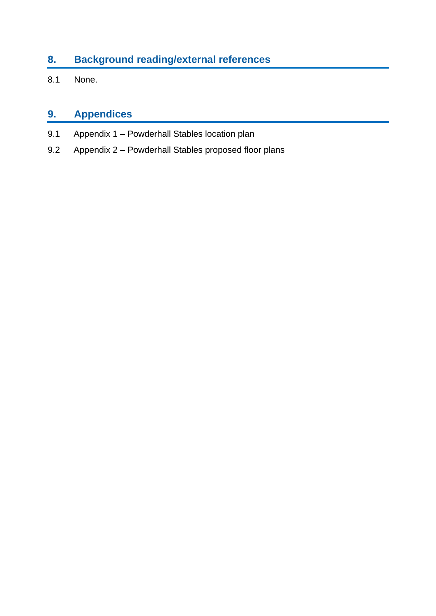# **8. Background reading/external references**

8.1 None.

# **9. Appendices**

- 9.1 Appendix 1 Powderhall Stables location plan
- 9.2 Appendix 2 Powderhall Stables proposed floor plans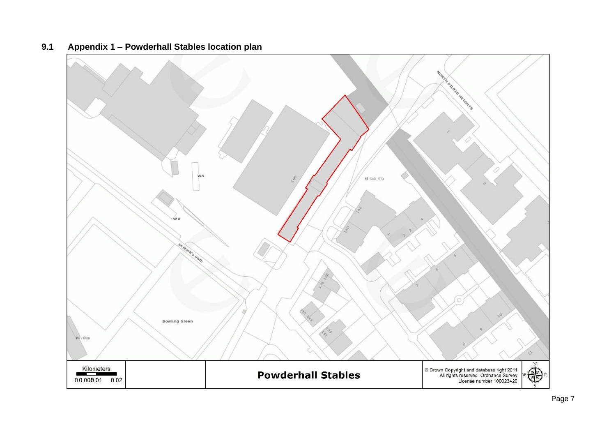

#### **9.1 Appendix 1 – Powderhall Stables location plan**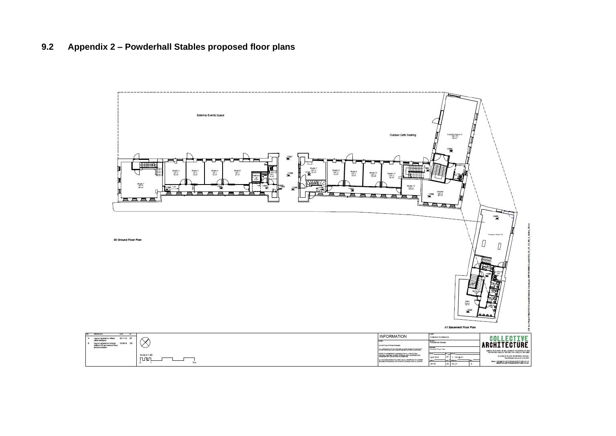#### **9.2 Appendix 2 – Powderhall Stables proposed floor plans**

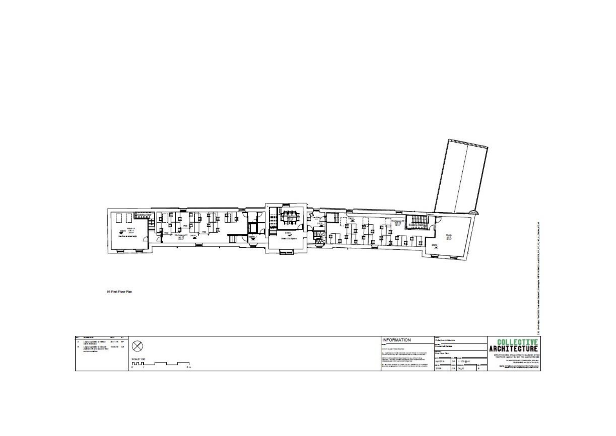